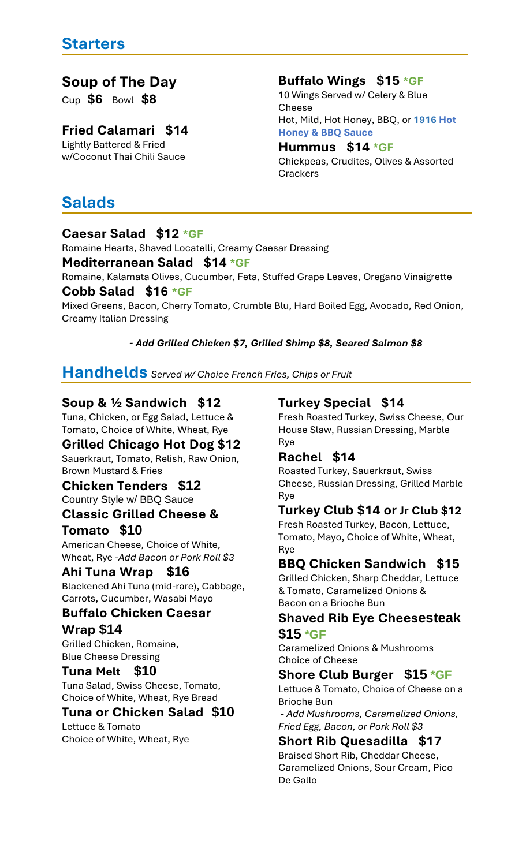## **Soup of The Day**

Cup **\$6** Bowl **\$8**

## **Fried Calamari \$14**

Lightly Battered & Fried w/Coconut Thai Chili Sauce

## **Buffalo Wings \$15 \*GF**

10 Wings Served w/ Celery & Blue Cheese Hot, Mild, Hot Honey, BBQ, or **1916 Hot Honey & BBQ Sauce**

#### **Hummus \$14 \*GF**

Chickpeas, Crudites, Olives & Assorted **Crackers** 

# **Salads**

### **Caesar Salad \$12 \*GF**

Romaine Hearts, Shaved Locatelli, Creamy Caesar Dressing

#### **Mediterranean Salad \$14 \*GF**

Romaine, Kalamata Olives, Cucumber, Feta, Stuffed Grape Leaves, Oregano Vinaigrette **Cobb Salad \$16 \*GF**

Mixed Greens, Bacon, Cherry Tomato, Crumble Blu, Hard Boiled Egg, Avocado, Red Onion, Creamy Italian Dressing

#### *- Add Grilled Chicken \$7, Grilled Shimp \$8, Seared Salmon \$8*

## **Handhelds** *Served w/ Choice French Fries, Chips or Fruit*

## **Soup & ½ Sandwich \$12**

Tuna, Chicken, or Egg Salad, Lettuce & Tomato, Choice of White, Wheat, Rye

### **Grilled Chicago Hot Dog \$12**

Sauerkraut, Tomato, Relish, Raw Onion, Brown Mustard & Fries

#### **Chicken Tenders \$12** Country Style w/ BBQ Sauce

## **Classic Grilled Cheese & Tomato \$10**

American Cheese, Choice of White, Wheat, Rye -*Add Bacon or Pork Roll \$3*

### **Ahi Tuna Wrap \$16**

Blackened Ahi Tuna (mid-rare), Cabbage, Carrots, Cucumber, Wasabi Mayo

#### **Buffalo Chicken Caesar Wrap \$14**

Grilled Chicken, Romaine, Blue Cheese Dressing

### **Tuna Melt \$10**

Tuna Salad, Swiss Cheese, Tomato, Choice of White, Wheat, Rye Bread

### **Tuna or Chicken Salad \$10**

Lettuce & Tomato Choice of White, Wheat, Rye

## **Turkey Special \$14**

Fresh Roasted Turkey, Swiss Cheese, Our House Slaw, Russian Dressing, Marble Rye

### **Rachel \$14**

Roasted Turkey, Sauerkraut, Swiss Cheese, Russian Dressing, Grilled Marble Rye

## **Turkey Club \$14 or Jr Club \$12**

Fresh Roasted Turkey, Bacon, Lettuce, Tomato, Mayo, Choice of White, Wheat, Rye

### **BBQ Chicken Sandwich \$15**

Grilled Chicken, Sharp Cheddar, Lettuce & Tomato, Caramelized Onions & Bacon on a Brioche Bun

#### **Shaved Rib Eye Cheesesteak \$15 \*GF**

Caramelized Onions & Mushrooms Choice of Cheese

## **Shore Club Burger \$15 \*GF**

Lettuce & Tomato, Choice of Cheese on a Brioche Bun

- *Add Mushrooms, Caramelized Onions, Fried Egg, Bacon, or Pork Roll \$3*

## **Short Rib Quesadilla \$17**

Braised Short Rib, Cheddar Cheese, Caramelized Onions, Sour Cream, Pico De Gallo